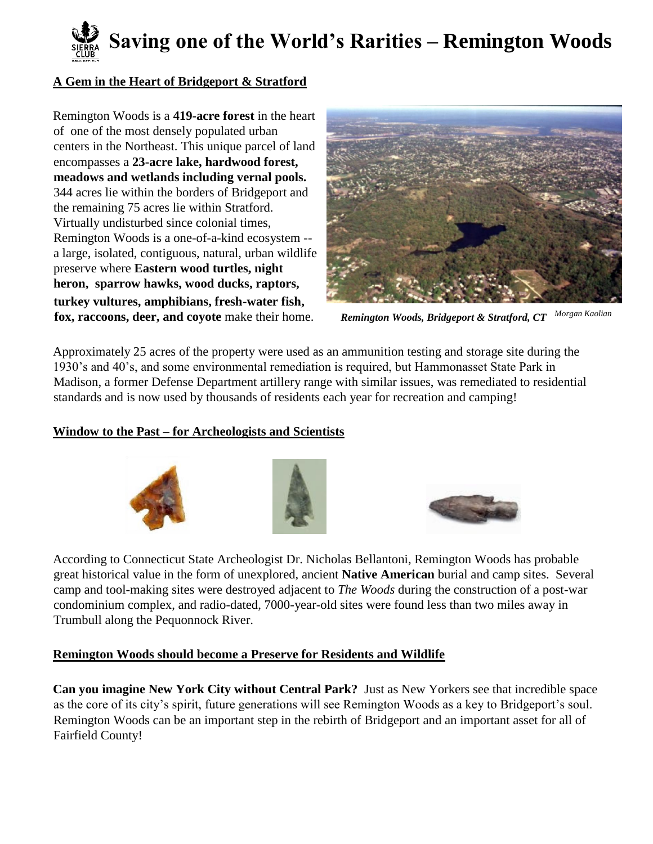# **Saving one of the World's Rarities – Remington Woods**

## **A Gem in the Heart of Bridgeport & Stratford**

Remington Woods is a **419-acre forest** in the heart of one of the most densely populated urban centers in the Northeast. This unique parcel of land encompasses a **23-acre lake, hardwood forest, meadows and wetlands including vernal pools.** 344 acres lie within the borders of Bridgeport and the remaining 75 acres lie within Stratford. Virtually undisturbed since colonial times, Remington Woods is a one-of-a-kind ecosystem - a large, isolated, contiguous, natural, urban wildlife preserve where **Eastern wood turtles, night heron, sparrow hawks, wood ducks, raptors, turkey vultures, amphibians, fresh-water fish, fox, raccoons, deer, and coyote** make their home. *Remington Woods, Bridgeport & Stratford, CT Morgan Kaolian* 



Approximately 25 acres of the property were used as an ammunition testing and storage site during the 1930's and 40's, and some environmental remediation is required, but Hammonasset State Park in Madison, a former Defense Department artillery range with similar issues, was remediated to residential standards and is now used by thousands of residents each year for recreation and camping!

#### **Window to the Past – for Archeologists and Scientists**





According to Connecticut State Archeologist Dr. Nicholas Bellantoni, Remington Woods has probable great historical value in the form of unexplored, ancient **Native American** burial and camp sites. Several camp and tool-making sites were destroyed adjacent to *The Woods* during the construction of a post-war condominium complex, and radio-dated, 7000-year-old sites were found less than two miles away in Trumbull along the Pequonnock River.

#### **Remington Woods should become a Preserve for Residents and Wildlife**

**Can you imagine New York City without Central Park?** Just as New Yorkers see that incredible space as the core of its city's spirit, future generations will see Remington Woods as a key to Bridgeport's soul. Remington Woods can be an important step in the rebirth of Bridgeport and an important asset for all of Fairfield County!